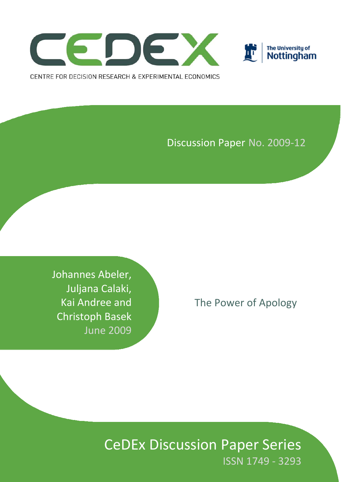



Discussion Paper No. 2009‐12

Johannes Abeler, Juljana Calaki, Kai Andree and Christoph Basek June 2009

The Power of Apology

CeDEx Discussion Paper Series ISSN 1749 ‐ 3293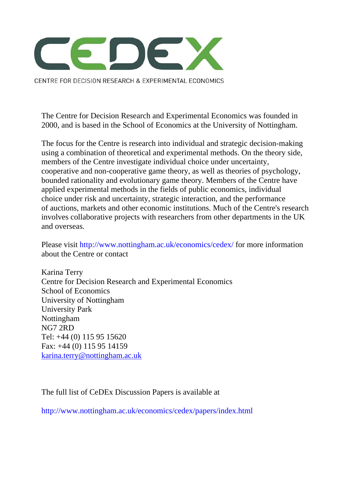

CENTRE FOR DECISION RESEARCH & EXPERIMENTAL ECONOMICS

The Centre for Decision Research and Experimental Economics was founded in 2000, and is based in the School of Economics at the University of Nottingham.

The focus for the Centre is research into individual and strategic decision-making using a combination of theoretical and experimental methods. On the theory side, members of the Centre investigate individual choice under uncertainty, cooperative and non-cooperative game theory, as well as theories of psychology, bounded rationality and evolutionary game theory. Members of the Centre have applied experimental methods in the fields of public economics, individual choice under risk and uncertainty, strategic interaction, and the performance of auctions, markets and other economic institutions. Much of the Centre's research involves collaborative projects with researchers from other departments in the UK and overseas.

Please visit http://www.nottingham.ac.uk/economics/cedex/ for more information about the Centre or contact

Karina Terry Centre for Decision Research and Experimental Economics School of Economics University of Nottingham University Park Nottingham NG7 2RD Tel: +44 (0) 115 95 15620 Fax: +44 (0) 115 95 14159 karina.terry@nottingham.ac.uk

The full list of CeDEx Discussion Papers is available at

http://www.nottingham.ac.uk/economics/cedex/papers/index.html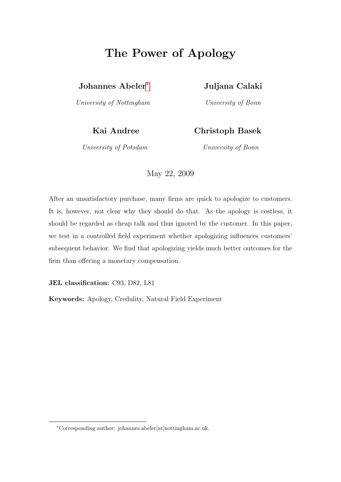# The Power of Apology

Johannes Abeler[∗](#page-2-0) Juljana Calaki

University of Nottingham University of Bonn

#### Kai Andree Christoph Basek

University of Potsdam University of Bonn

May 22, 2009

After an unsatisfactory purchase, many firms are quick to apologize to customers. It is, however, not clear why they should do that. As the apology is costless, it should be regarded as cheap talk and thus ignored by the customer. In this paper, we test in a controlled field experiment whether apologizing influences customers' subsequent behavior. We find that apologizing yields much better outcomes for the firm than offering a monetary compensation.

JEL classification: C93, D82, L81

Keywords: Apology, Credulity, Natural Field Experiment

<span id="page-2-0"></span><sup>∗</sup>Corresponding author: johannes.abeler[at]nottingham.ac.uk.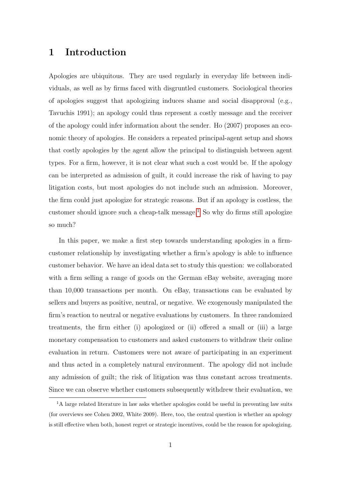#### 1 Introduction

Apologies are ubiquitous. They are used regularly in everyday life between individuals, as well as by firms faced with disgruntled customers. Sociological theories of apologies suggest that apologizing induces shame and social disapproval (e.g., Tavuchis 1991); an apology could thus represent a costly message and the receiver of the apology could infer information about the sender. Ho (2007) proposes an economic theory of apologies. He considers a repeated principal-agent setup and shows that costly apologies by the agent allow the principal to distinguish between agent types. For a firm, however, it is not clear what such a cost would be. If the apology can be interpreted as admission of guilt, it could increase the risk of having to pay litigation costs, but most apologies do not include such an admission. Moreover, the firm could just apologize for strategic reasons. But if an apology is costless, the customer should ignore such a cheap-talk message.<sup>[1](#page-3-0)</sup> So why do firms still apologize so much?

In this paper, we make a first step towards understanding apologies in a firmcustomer relationship by investigating whether a firm's apology is able to influence customer behavior. We have an ideal data set to study this question: we collaborated with a firm selling a range of goods on the German eBay website, averaging more than 10,000 transactions per month. On eBay, transactions can be evaluated by sellers and buyers as positive, neutral, or negative. We exogenously manipulated the firm's reaction to neutral or negative evaluations by customers. In three randomized treatments, the firm either (i) apologized or (ii) offered a small or (iii) a large monetary compensation to customers and asked customers to withdraw their online evaluation in return. Customers were not aware of participating in an experiment and thus acted in a completely natural environment. The apology did not include any admission of guilt; the risk of litigation was thus constant across treatments. Since we can observe whether customers subsequently withdrew their evaluation, we

<span id="page-3-0"></span><sup>&</sup>lt;sup>1</sup>A large related literature in law asks whether apologies could be useful in preventing law suits (for overviews see Cohen 2002, White 2009). Here, too, the central question is whether an apology is still effective when both, honest regret or strategic incentives, could be the reason for apologizing.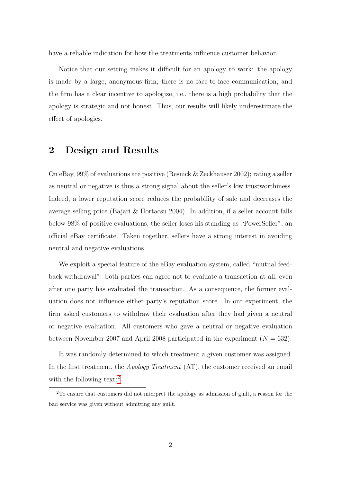have a reliable indication for how the treatments influence customer behavior.

Notice that our setting makes it difficult for an apology to work: the apology is made by a large, anonymous firm; there is no face-to-face communication; and the firm has a clear incentive to apologize, i.e., there is a high probability that the apology is strategic and not honest. Thus, our results will likely underestimate the effect of apologies.

#### 2 Design and Results

On eBay, 99% of evaluations are positive (Resnick & Zeckhauser 2002); rating a seller as neutral or negative is thus a strong signal about the seller's low trustworthiness. Indeed, a lower reputation score reduces the probability of sale and decreases the average selling price (Bajari & Hortacsu 2004). In addition, if a seller account falls below 98% of positive evaluations, the seller loses his standing as "PowerSeller", an official eBay certificate. Taken together, sellers have a strong interest in avoiding neutral and negative evaluations.

We exploit a special feature of the eBay evaluation system, called "mutual feedback withdrawal": both parties can agree not to evaluate a transaction at all, even after one party has evaluated the transaction. As a consequence, the former evaluation does not influence either party's reputation score. In our experiment, the firm asked customers to withdraw their evaluation after they had given a neutral or negative evaluation. All customers who gave a neutral or negative evaluation between November 2007 and April 2008 participated in the experiment  $(N = 632)$ .

It was randomly determined to which treatment a given customer was assigned. In the first treatment, the *Apology Treatment* (AT), the customer received an email with the following text:<sup>[2](#page-4-0)</sup>

<span id="page-4-0"></span><sup>2</sup>To ensure that customers did not interpret the apology as admission of guilt, a reason for the bad service was given without admitting any guilt.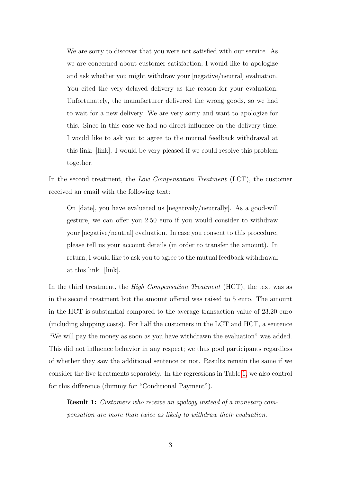We are sorry to discover that you were not satisfied with our service. As we are concerned about customer satisfaction, I would like to apologize and ask whether you might withdraw your [negative/neutral] evaluation. You cited the very delayed delivery as the reason for your evaluation. Unfortunately, the manufacturer delivered the wrong goods, so we had to wait for a new delivery. We are very sorry and want to apologize for this. Since in this case we had no direct influence on the delivery time, I would like to ask you to agree to the mutual feedback withdrawal at this link: [link]. I would be very pleased if we could resolve this problem together.

In the second treatment, the Low Compensation Treatment (LCT), the customer received an email with the following text:

On [date], you have evaluated us [negatively/neutrally]. As a good-will gesture, we can offer you 2.50 euro if you would consider to withdraw your [negative/neutral] evaluation. In case you consent to this procedure, please tell us your account details (in order to transfer the amount). In return, I would like to ask you to agree to the mutual feedback withdrawal at this link: [link].

In the third treatment, the *High Compensation Treatment* (HCT), the text was as in the second treatment but the amount offered was raised to 5 euro. The amount in the HCT is substantial compared to the average transaction value of 23.20 euro (including shipping costs). For half the customers in the LCT and HCT, a sentence "We will pay the money as soon as you have withdrawn the evaluation" was added. This did not influence behavior in any respect; we thus pool participants regardless of whether they saw the additional sentence or not. Results remain the same if we consider the five treatments separately. In the regressions in Table [1,](#page-8-0) we also control for this difference (dummy for "Conditional Payment").

**Result 1:** Customers who receive an apology instead of a monetary compensation are more than twice as likely to withdraw their evaluation.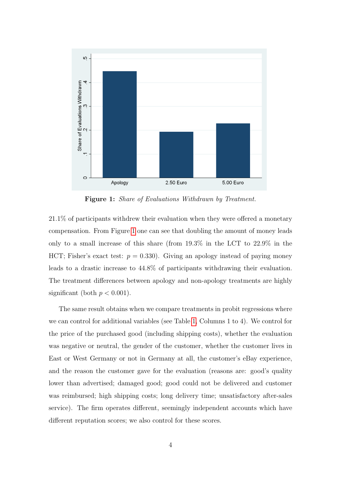

<span id="page-6-0"></span>Figure 1: Share of Evaluations Withdrawn by Treatment.

21.1% of participants withdrew their evaluation when they were offered a monetary compensation. From Figure [1](#page-6-0) one can see that doubling the amount of money leads only to a small increase of this share (from 19.3% in the LCT to 22.9% in the HCT; Fisher's exact test:  $p = 0.330$ . Giving an apology instead of paying money leads to a drastic increase to 44.8% of participants withdrawing their evaluation. The treatment differences between apology and non-apology treatments are highly significant (both  $p < 0.001$ ).

The same result obtains when we compare treatments in probit regressions where we can control for additional variables (see Table [1,](#page-8-0) Columns 1 to 4). We control for the price of the purchased good (including shipping costs), whether the evaluation was negative or neutral, the gender of the customer, whether the customer lives in East or West Germany or not in Germany at all, the customer's eBay experience, and the reason the customer gave for the evaluation (reasons are: good's quality lower than advertised; damaged good; good could not be delivered and customer was reimbursed; high shipping costs; long delivery time; unsatisfactory after-sales service). The firm operates different, seemingly independent accounts which have different reputation scores; we also control for these scores.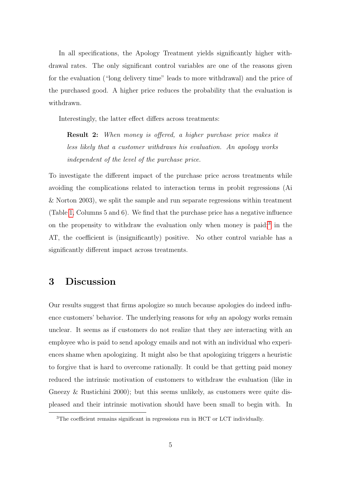In all specifications, the Apology Treatment yields significantly higher withdrawal rates. The only significant control variables are one of the reasons given for the evaluation ("long delivery time" leads to more withdrawal) and the price of the purchased good. A higher price reduces the probability that the evaluation is withdrawn.

Interestingly, the latter effect differs across treatments:

Result 2: When money is offered, a higher purchase price makes it less likely that a customer withdraws his evaluation. An apology works independent of the level of the purchase price.

To investigate the different impact of the purchase price across treatments while avoiding the complications related to interaction terms in probit regressions (Ai & Norton 2003), we split the sample and run separate regressions within treatment (Table [1,](#page-8-0) Columns 5 and 6). We find that the purchase price has a negative influence on the propensity to withdraw the evaluation only when money is paid;<sup>[3](#page-7-0)</sup> in the AT, the coefficient is (insignificantly) positive. No other control variable has a significantly different impact across treatments.

## 3 Discussion

Our results suggest that firms apologize so much because apologies do indeed influence customers' behavior. The underlying reasons for why an apology works remain unclear. It seems as if customers do not realize that they are interacting with an employee who is paid to send apology emails and not with an individual who experiences shame when apologizing. It might also be that apologizing triggers a heuristic to forgive that is hard to overcome rationally. It could be that getting paid money reduced the intrinsic motivation of customers to withdraw the evaluation (like in Gneezy & Rustichini 2000); but this seems unlikely, as customers were quite displeased and their intrinsic motivation should have been small to begin with. In

<span id="page-7-0"></span><sup>3</sup>The coefficient remains significant in regressions run in HCT or LCT individually.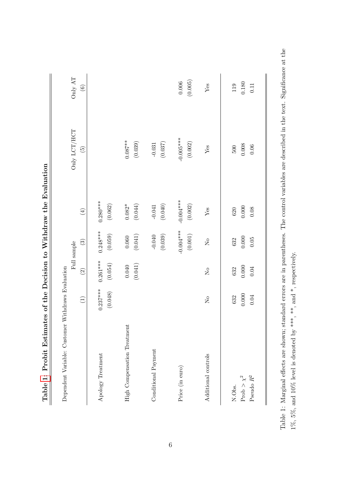|                                           |                                      |                        | Full sample                          |                          | Only $\ensuremath{\mathrm{LCT}}/\ensuremath{\mathrm{HCT}}$ | Only $\operatorname{AT}$ |
|-------------------------------------------|--------------------------------------|------------------------|--------------------------------------|--------------------------|------------------------------------------------------------|--------------------------|
|                                           | $\bigoplus$                          | $\widehat{\Omega}$     | $\binom{3}{2}$                       | $\tag{4}$                | $\widetilde{5}$                                            | $\circledcirc$           |
| Apology Treatment                         | $0.237***$<br>(0.048)                | $0.261***$<br>(0.054)  | $0.248***$<br>(0.059)                | $0.280***$<br>(0.062)    |                                                            |                          |
| High Compensation Treatment               |                                      | (0.041)<br>$0.040\,$   | (0.041)<br>$0.060\,$                 | (0.044)<br>$0.082*$      | $0.087**$<br>(0.039)                                       |                          |
| Conditional Payment                       |                                      |                        | (0.039)<br>$-0.040$                  | (0.040)<br>$-0.041$      | (0.037)<br>$-0.031$                                        |                          |
| Price (in euro)                           |                                      |                        | $-0.004***$<br>$\left( 0.001\right)$ | $-0.004***$<br>(0.002)   | $-0.005***$<br>(0.002)                                     | (0.005)<br>0.006         |
| Additional controls                       | $\overline{\mathsf{X}}^{\mathsf{o}}$ | $\overline{S}$         | $\overline{\mathsf{S}}$              | ${\rm Yes}$              | ${\rm Yes}$                                                | ${\rm Yes}$              |
| Pseudo $R^2$<br>Prob $> \chi^2$<br>N.Obs. | 0.000<br>0.04<br>632                 | 0.000<br>$0.04$<br>632 | $0.000\,$<br>$0.05\,$<br>632         | 0.000<br>0.08<br>$620\,$ | $0.008\,$<br>$0.06$<br>500                                 | 0.180<br>119<br>0.11     |

Table 1: Probit Estimates of the Decision to Withdraw the Evaluation Table [1:](#page-8-0) Probit Estimates of the Decision to Withdraw the Evaluation <span id="page-8-0"></span>Table 1: Marginal effects are shown; standard errors are in parentheses. The control variables are described in the text. Significance at the Table 1: Marginal effects are shown; standard errors are in parentheses. The control variables are described in the text. Significance at the 1%, 5%, and 10% level is denoted by \*\*\*, \*\*, and \*, respectively. 1%, 5%, and 10% level is denoted by \*\*\*, \*\*, and \*, respectively.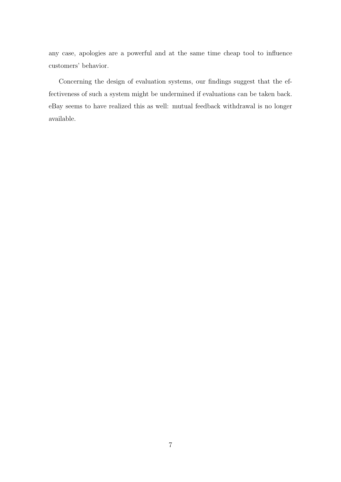any case, apologies are a powerful and at the same time cheap tool to influence customers' behavior.

Concerning the design of evaluation systems, our findings suggest that the effectiveness of such a system might be undermined if evaluations can be taken back. eBay seems to have realized this as well: mutual feedback withdrawal is no longer available.